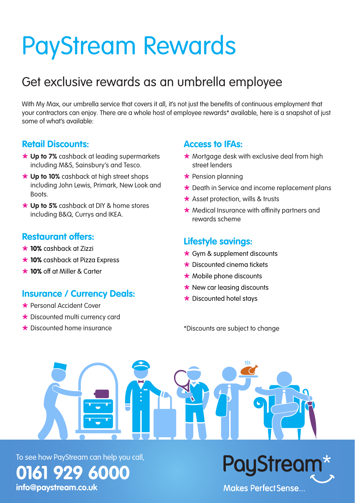# PayStream Rewards

# Get exclusive rewards as an umbrella employee

With My Max, our umbrella service that covers it all, it's not just the benefits of continuous employment that your contractors can enjoy. There are a whole host of employee rewards\* available, here is a snapshot of just some of what's available:

#### **Retail Discounts:**

- **\*** Up to 7% cashback at leading supermarkets including M&S, Sainsbury's and Tesco.
- **\* Up to 10%** cashback at high street shops including John Lewis, Primark, New Look and Boots.
- **\* Up to 5%** cashback at DIY & home stores including B&Q, Currys and IKEA.

#### **Restaurant offers:**

- º **10%** cashback at Zizzi
- \* 10% cashback at Pizza Express
- \* 10% off at Miller & Carter

#### **Insurance / Currency Deals:**

- º Personal Accident Cover
- \* Discounted multi currency card
- $\star$  Discounted home insurance

#### **Access to IFAs:**

- $\star$  Mortgage desk with exclusive deal from high street lenders
- $\star$  Pension planning
- $\star$  Death in Service and income replacement plans
- $\star$  Asset protection, wills & trusts
- $\star$  Medical Insurance with affinity partners and rewards scheme

### **Lifestyle savings:**

- $\star$  Gym & supplement discounts
- $\star$  Discounted cinema tickets
- $\star$  Mobile phone discounts
- $\star$  New car leasing discounts
- $\star$  Discounted hotel stavs

\*Discounts are subject to change

To see how PayStream can help you call, **0161 929 6000**

**[info@paystream.co.uk](mailto:info%40paystream.co.uk?subject=)**

PayStrea Makes PerfectSense